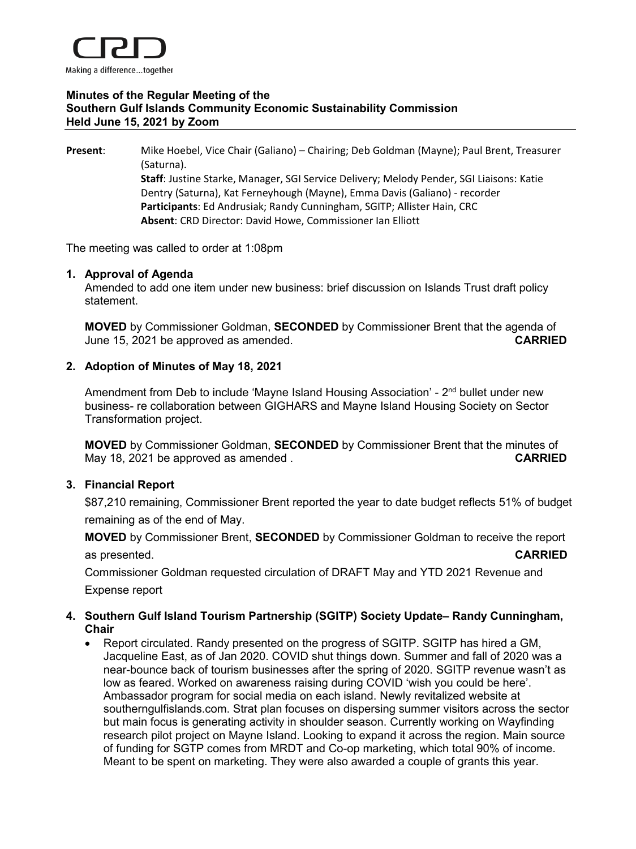

# **Minutes of the Regular Meeting of the Southern Gulf Islands Community Economic Sustainability Commission Held June 15, 2021 by Zoom**

**Present**: Mike Hoebel, Vice Chair (Galiano) – Chairing; Deb Goldman (Mayne); Paul Brent, Treasurer (Saturna). **Staff**: Justine Starke, Manager, SGI Service Delivery; Melody Pender, SGI Liaisons: Katie Dentry (Saturna), Kat Ferneyhough (Mayne), Emma Davis (Galiano) - recorder **Participants**: Ed Andrusiak; Randy Cunningham, SGITP; Allister Hain, CRC **Absent**: CRD Director: David Howe, Commissioner Ian Elliott

The meeting was called to order at 1:08pm

#### **1. Approval of Agenda**

Amended to add one item under new business: brief discussion on Islands Trust draft policy statement.

**MOVED** by Commissioner Goldman, **SECONDED** by Commissioner Brent that the agenda of June 15, 2021 be approved as amended. **CARRIED**

### **2. Adoption of Minutes of May 18, 2021**

Amendment from Deb to include 'Mayne Island Housing Association' - 2<sup>nd</sup> bullet under new business- re collaboration between GIGHARS and Mayne Island Housing Society on Sector Transformation project.

**MOVED** by Commissioner Goldman, **SECONDED** by Commissioner Brent that the minutes of May 18, 2021 be approved as amended . **CARRIED**

### **3. Financial Report**

\$87,210 remaining, Commissioner Brent reported the year to date budget reflects 51% of budget remaining as of the end of May.

**MOVED** by Commissioner Brent, **SECONDED** by Commissioner Goldman to receive the report as presented. **CARRIED**

Commissioner Goldman requested circulation of DRAFT May and YTD 2021 Revenue and Expense report

# **4. Southern Gulf Island Tourism Partnership (SGITP) Society Update– Randy Cunningham, Chair**

• Report circulated. Randy presented on the progress of SGITP. SGITP has hired a GM, Jacqueline East, as of Jan 2020. COVID shut things down. Summer and fall of 2020 was a near-bounce back of tourism businesses after the spring of 2020. SGITP revenue wasn't as low as feared. Worked on awareness raising during COVID 'wish you could be here'. Ambassador program for social media on each island. Newly revitalized website at southerngulfislands.com. Strat plan focuses on dispersing summer visitors across the sector but main focus is generating activity in shoulder season. Currently working on Wayfinding research pilot project on Mayne Island. Looking to expand it across the region. Main source of funding for SGTP comes from MRDT and Co-op marketing, which total 90% of income. Meant to be spent on marketing. They were also awarded a couple of grants this year.